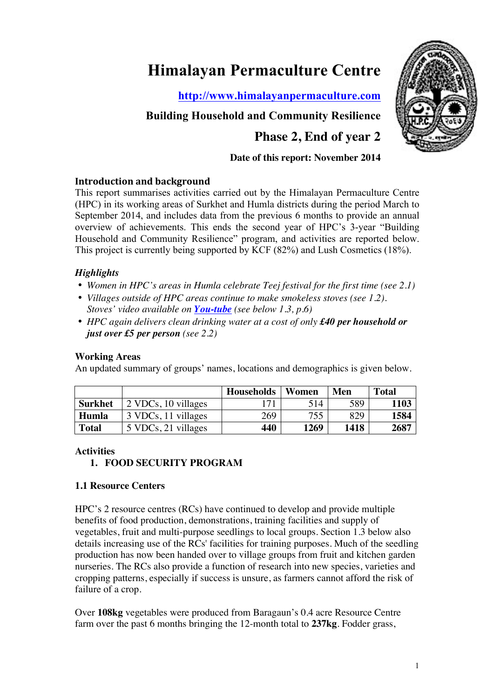# **Himalayan Permaculture Centre**

**http://www.himalayanpermaculture.com**

## **Building Household and Community Resilience**

## **Phase 2, End of year 2**

#### **Date of this report: November 2014**

#### **Introduction and background**

This report summarises activities carried out by the Himalayan Permaculture Centre (HPC) in its working areas of Surkhet and Humla districts during the period March to September 2014, and includes data from the previous 6 months to provide an annual overview of achievements. This ends the second year of HPC's 3-year "Building Household and Community Resilience" program, and activities are reported below. This project is currently being supported by KCF (82%) and Lush Cosmetics (18%).

### *Highlights*

- *Women in HPC's areas in Humla celebrate Teej festival for the first time (see 2.1)*
- *Villages outside of HPC areas continue to make smokeless stoves (see 1.2). Stoves' video available on You-tube (see below 1.3, p.6)*
- *HPC again delivers clean drinking water at a cost of only £40 per household or just over £5 per person (see 2.2)*

#### **Working Areas**

An updated summary of groups' names, locations and demographics is given below.

|              |                     | <b>Households</b> | Women | Men  | <b>Total</b> |
|--------------|---------------------|-------------------|-------|------|--------------|
| Surkhet      | 2 VDCs, 10 villages | 171               | 514   | 589  | 1103         |
| Humla        | 3 VDCs, 11 villages | 269               | 755   | 829  | 1584         |
| <b>Total</b> | 5 VDCs, 21 villages | 440               | 1269  | 1418 | 2687         |

#### **Activities**

#### **1. FOOD SECURITY PROGRAM**

#### **1.1 Resource Centers**

HPC's 2 resource centres (RCs) have continued to develop and provide multiple benefits of food production, demonstrations, training facilities and supply of vegetables, fruit and multi-purpose seedlings to local groups. Section 1.3 below also details increasing use of the RCs' facilities for training purposes. Much of the seedling production has now been handed over to village groups from fruit and kitchen garden nurseries. The RCs also provide a function of research into new species, varieties and cropping patterns, especially if success is unsure, as farmers cannot afford the risk of failure of a crop.

Over **108kg** vegetables were produced from Baragaun's 0.4 acre Resource Centre farm over the past 6 months bringing the 12-month total to **237kg**. Fodder grass,

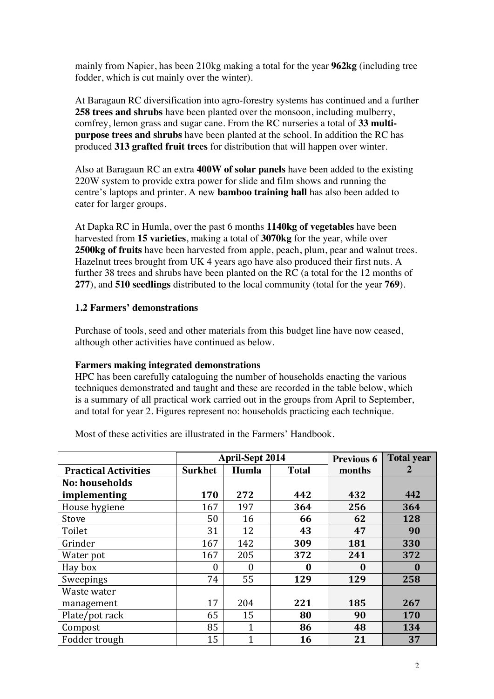mainly from Napier, has been 210kg making a total for the year **962kg** (including tree fodder, which is cut mainly over the winter).

At Baragaun RC diversification into agro-forestry systems has continued and a further **258 trees and shrubs** have been planted over the monsoon, including mulberry, comfrey, lemon grass and sugar cane. From the RC nurseries a total of **33 multipurpose trees and shrubs** have been planted at the school. In addition the RC has produced **313 grafted fruit trees** for distribution that will happen over winter.

Also at Baragaun RC an extra **400W of solar panels** have been added to the existing 220W system to provide extra power for slide and film shows and running the centre's laptops and printer. A new **bamboo training hall** has also been added to cater for larger groups.

At Dapka RC in Humla, over the past 6 months **1140kg of vegetables** have been harvested from **15 varieties**, making a total of **3070kg** for the year, while over **2500kg of fruits** have been harvested from apple, peach, plum, pear and walnut trees. Hazelnut trees brought from UK 4 years ago have also produced their first nuts. A further 38 trees and shrubs have been planted on the RC (a total for the 12 months of **277**), and **510 seedlings** distributed to the local community (total for the year **769**).

#### **1.2 Farmers' demonstrations**

Purchase of tools, seed and other materials from this budget line have now ceased, although other activities have continued as below.

#### **Farmers making integrated demonstrations**

HPC has been carefully cataloguing the number of households enacting the various techniques demonstrated and taught and these are recorded in the table below, which is a summary of all practical work carried out in the groups from April to September, and total for year 2. Figures represent no: households practicing each technique.

|                             |                | <b>April-Sept 2014</b> |              | <b>Previous 6</b> | <b>Total year</b> |
|-----------------------------|----------------|------------------------|--------------|-------------------|-------------------|
| <b>Practical Activities</b> | <b>Surkhet</b> | Humla                  | <b>Total</b> | months            |                   |
| <b>No: households</b>       |                |                        |              |                   |                   |
| implementing                | 170            | 272                    | 442          | 432               | 442               |
| House hygiene               | 167            | 197                    | 364          | 256               | 364               |
| Stove                       | 50             | 16                     | 66           | 62                | 128               |
| Toilet                      | 31             | 12                     | 43           | 47                | 90                |
| Grinder                     | 167            | 142                    | 309          | 181               | 330               |
| Water pot                   | 167            | 205                    | 372          | 241               | 372               |
| Hay box                     | $\theta$       | $\theta$               | 0            | 0                 | $\bf{0}$          |
| Sweepings                   | 74             | 55                     | 129          | 129               | 258               |
| Waste water                 |                |                        |              |                   |                   |
| management                  | 17             | 204                    | 221          | 185               | 267               |
| Plate/pot rack              | 65             | 15                     | 80           | 90                | 170               |
| Compost                     | 85             | $\overline{1}$         | 86           | 48                | 134               |
| Fodder trough               | 15             | $\mathbf{1}$           | 16           | 21                | 37                |

Most of these activities are illustrated in the Farmers' Handbook.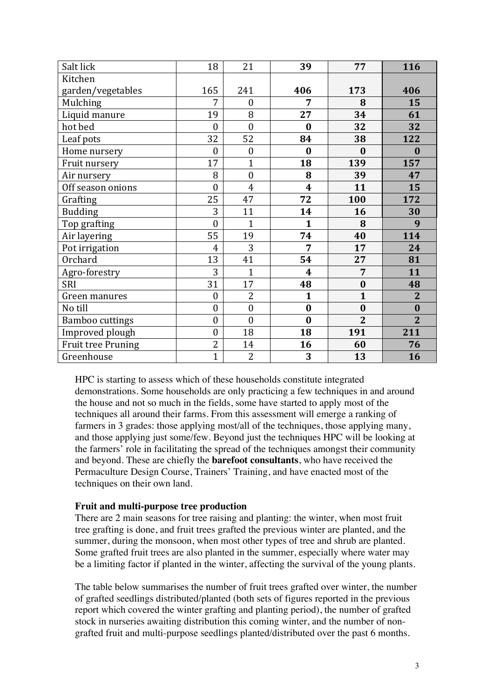| Salt lick                 | 18               | 21               | 39          | 77             | 116            |
|---------------------------|------------------|------------------|-------------|----------------|----------------|
| Kitchen                   |                  |                  |             |                |                |
| garden/vegetables         | 165              | 241              | 406         | 173            | 406            |
| Mulching                  | 7                | $\boldsymbol{0}$ | 7           | 8              | 15             |
| Liquid manure             | 19               | 8                | 27          | 34             | 61             |
| hot bed                   | $\overline{0}$   | $\overline{0}$   | $\bf{0}$    | 32             | 32             |
| Leaf pots                 | 32               | 52               | 84          | 38             | 122            |
| Home nursery              | $\overline{0}$   | $\boldsymbol{0}$ | $\bf{0}$    | $\bf{0}$       | $\bf{0}$       |
| Fruit nursery             | 17               | $\overline{1}$   | 18          | 139            | 157            |
| Air nursery               | 8                | $\boldsymbol{0}$ | 8           | 39             | 47             |
| Off season onions         | $\overline{0}$   | $\overline{4}$   | 4           | 11             | 15             |
| Grafting                  | 25               | 47               | 72          | 100            | 172            |
| <b>Budding</b>            | 3                | 11               | 14          | 16             | 30             |
| Top grafting              | $\overline{0}$   | $\overline{1}$   | 1           | 8              | 9              |
| Air layering              | 55               | 19               | 74          | 40             | 114            |
| Pot irrigation            | 4                | 3                | 7           | 17             | 24             |
| Orchard                   | 13               | 41               | 54          | 27             | 81             |
| Agro-forestry             | 3                | $\overline{1}$   | 4           | 7              | 11             |
| <b>SRI</b>                | 31               | 17               | 48          | $\bf{0}$       | 48             |
| Green manures             | $\boldsymbol{0}$ | $\overline{2}$   | $\mathbf 1$ | $\mathbf{1}$   | $\overline{2}$ |
| No till                   | $\boldsymbol{0}$ | $\boldsymbol{0}$ | $\bf{0}$    | $\bf{0}$       | $\bf{0}$       |
| <b>Bamboo cuttings</b>    | $\overline{0}$   | $\overline{0}$   | $\bf{0}$    | $\overline{2}$ | $\overline{2}$ |
| Improved plough           | $\boldsymbol{0}$ | 18               | 18          | 191            | 211            |
| <b>Fruit tree Pruning</b> | $\overline{2}$   | 14               | 16          | 60             | 76             |
| Greenhouse                | $\overline{1}$   | $\overline{2}$   | 3           | 13             | 16             |

HPC is starting to assess which of these households constitute integrated demonstrations. Some households are only practicing a few techniques in and around the house and not so much in the fields, some have started to apply most of the techniques all around their farms. From this assessment will emerge a ranking of farmers in 3 grades: those applying most/all of the techniques, those applying many, and those applying just some/few. Beyond just the techniques HPC will be looking at the farmers' role in facilitating the spread of the techniques amongst their community and beyond. These are chiefly the **barefoot consultants**, who have received the Permaculture Design Course, Trainers' Training, and have enacted most of the techniques on their own land.

#### **Fruit and multi-purpose tree production**

There are 2 main seasons for tree raising and planting: the winter, when most fruit tree grafting is done, and fruit trees grafted the previous winter are planted, and the summer, during the monsoon, when most other types of tree and shrub are planted. Some grafted fruit trees are also planted in the summer, especially where water may be a limiting factor if planted in the winter, affecting the survival of the young plants.

The table below summarises the number of fruit trees grafted over winter, the number of grafted seedlings distributed/planted (both sets of figures reported in the previous report which covered the winter grafting and planting period), the number of grafted stock in nurseries awaiting distribution this coming winter, and the number of nongrafted fruit and multi-purpose seedlings planted/distributed over the past 6 months.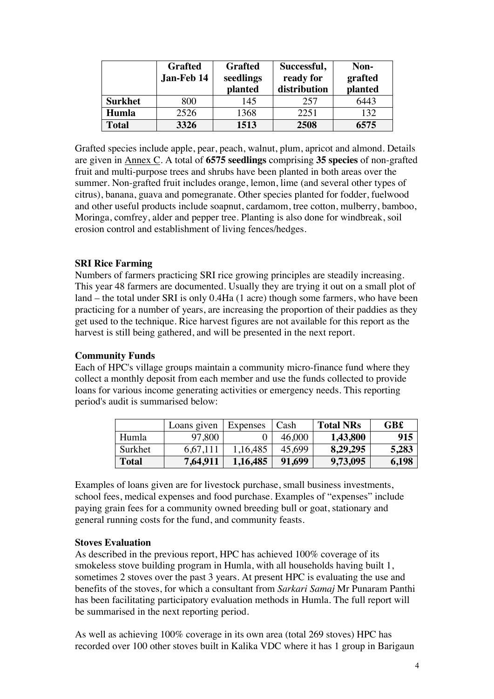|                | <b>Grafted</b><br>Jan-Feb 14 | <b>Grafted</b><br>seedlings<br>planted | Successful,<br>ready for<br>distribution | Non-<br>grafted<br>planted |
|----------------|------------------------------|----------------------------------------|------------------------------------------|----------------------------|
| <b>Surkhet</b> | 800                          | 145                                    | 257                                      | 6443                       |
| Humla          | 2526                         | 1368                                   | 2251                                     | 132                        |
| <b>Total</b>   | 3326                         | 1513                                   | 2508                                     | 6575                       |

Grafted species include apple, pear, peach, walnut, plum, apricot and almond. Details are given in Annex C. A total of **6575 seedlings** comprising **35 species** of non-grafted fruit and multi-purpose trees and shrubs have been planted in both areas over the summer. Non-grafted fruit includes orange, lemon, lime (and several other types of citrus), banana, guava and pomegranate. Other species planted for fodder, fuelwood and other useful products include soapnut, cardamom, tree cotton, mulberry, bamboo, Moringa, comfrey, alder and pepper tree. Planting is also done for windbreak, soil erosion control and establishment of living fences/hedges.

#### **SRI Rice Farming**

Numbers of farmers practicing SRI rice growing principles are steadily increasing. This year 48 farmers are documented. Usually they are trying it out on a small plot of land – the total under SRI is only 0.4Ha (1 acre) though some farmers, who have been practicing for a number of years, are increasing the proportion of their paddies as they get used to the technique. Rice harvest figures are not available for this report as the harvest is still being gathered, and will be presented in the next report.

#### **Community Funds**

Each of HPC's village groups maintain a community micro-finance fund where they collect a monthly deposit from each member and use the funds collected to provide loans for various income generating activities or emergency needs. This reporting period's audit is summarised below:

|         | Loans given | Expenses | Cash   | <b>Total NRs</b> | <b>GB£</b> |
|---------|-------------|----------|--------|------------------|------------|
| Humla   | 97,800      |          | 46,000 | 1,43,800         | 915        |
| Surkhet | 6.67.111    | 1,16,485 | 45,699 | 8,29,295         | 5,283      |
| Total   | 7,64,911    | 1,16,485 | 91,699 | 9,73,095         | 6,198      |

Examples of loans given are for livestock purchase, small business investments, school fees, medical expenses and food purchase. Examples of "expenses" include paying grain fees for a community owned breeding bull or goat, stationary and general running costs for the fund, and community feasts.

#### **Stoves Evaluation**

As described in the previous report, HPC has achieved 100% coverage of its smokeless stove building program in Humla, with all households having built 1, sometimes 2 stoves over the past 3 years. At present HPC is evaluating the use and benefits of the stoves, for which a consultant from *Sarkari Samaj* Mr Punaram Panthi has been facilitating participatory evaluation methods in Humla. The full report will be summarised in the next reporting period.

As well as achieving 100% coverage in its own area (total 269 stoves) HPC has recorded over 100 other stoves built in Kalika VDC where it has 1 group in Barigaun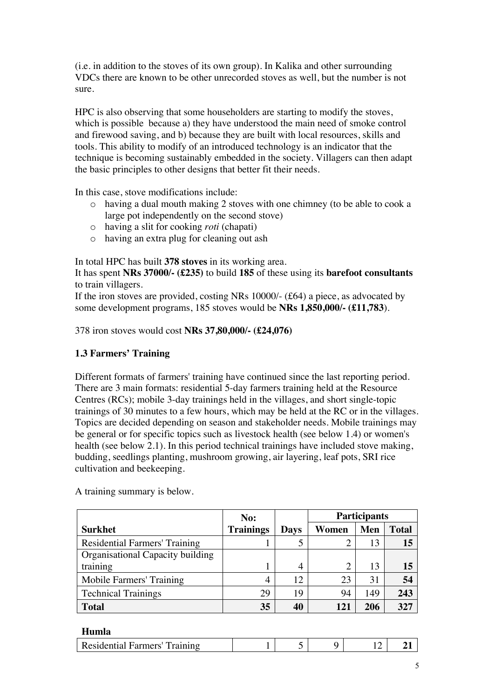(i.e. in addition to the stoves of its own group). In Kalika and other surrounding VDCs there are known to be other unrecorded stoves as well, but the number is not sure.

HPC is also observing that some householders are starting to modify the stoves, which is possible because a) they have understood the main need of smoke control and firewood saving, and b) because they are built with local resources, skills and tools. This ability to modify of an introduced technology is an indicator that the technique is becoming sustainably embedded in the society. Villagers can then adapt the basic principles to other designs that better fit their needs.

In this case, stove modifications include:

- o having a dual mouth making 2 stoves with one chimney (to be able to cook a large pot independently on the second stove)
- o having a slit for cooking *roti* (chapati)
- o having an extra plug for cleaning out ash

In total HPC has built **378 stoves** in its working area.

It has spent **NRs 37000/- (£235)** to build **185** of these using its **barefoot consultants** to train villagers.

If the iron stoves are provided, costing NRs 10000/- (£64) a piece, as advocated by some development programs, 185 stoves would be **NRs 1,850,000/- (£11,783**).

378 iron stoves would cost **NRs 37,80,000/- (£24,076)**

#### **1.3 Farmers' Training**

Different formats of farmers' training have continued since the last reporting period. There are 3 main formats: residential 5-day farmers training held at the Resource Centres (RCs); mobile 3-day trainings held in the villages, and short single-topic trainings of 30 minutes to a few hours, which may be held at the RC or in the villages. Topics are decided depending on season and stakeholder needs. Mobile trainings may be general or for specific topics such as livestock health (see below 1.4) or women's health (see below 2.1). In this period technical trainings have included stove making, budding, seedlings planting, mushroom growing, air layering, leaf pots, SRI rice cultivation and beekeeping.

**Surkhet No: Trainings Days Participants Women Men Total** Residential Farmers' Training 1 1 5 2 13 15 Organisational Capacity building training 1 1 4 2 13 **15** Mobile Farmers' Training  $\begin{array}{|c|c|c|c|c|c|c|c|c|} \hline \end{array}$  4 | 12 | 23 | 31 | 54 Technical Trainings 19 29 19 94 149 243 **Total 35 40 121 206 327**

A training summary is below.

#### **Humla**

|  | nnp<br>Farmers<br>-Resident<br>tial |  |  |  | ∽ |  |
|--|-------------------------------------|--|--|--|---|--|
|--|-------------------------------------|--|--|--|---|--|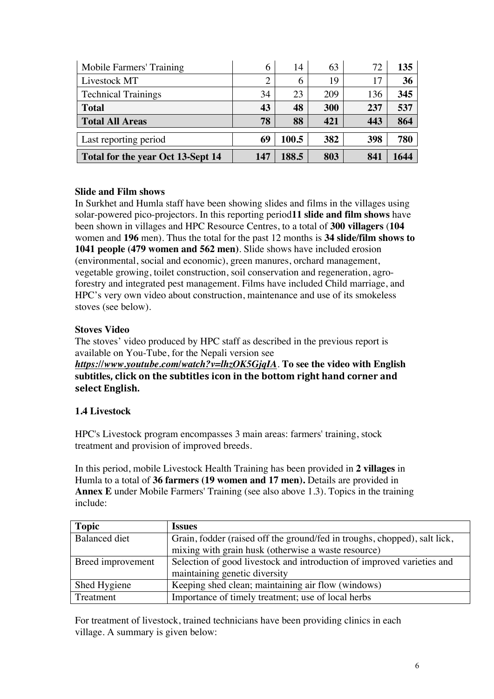| Mobile Farmers' Training                 | 6              | 14    | 63  | 72  | 135  |
|------------------------------------------|----------------|-------|-----|-----|------|
| Livestock MT                             | $\overline{2}$ | 6     | 19  | 17  | 36   |
| <b>Technical Trainings</b>               | 34             | 23    | 209 | 136 | 345  |
| <b>Total</b>                             | 43             | 48    | 300 | 237 | 537  |
| <b>Total All Areas</b>                   | 78             | 88    | 421 | 443 | 864  |
| Last reporting period                    | 69             | 100.5 | 382 | 398 | 780  |
| <b>Total for the year Oct 13-Sept 14</b> | 147            | 188.5 | 803 | 841 | 1644 |

#### **Slide and Film shows**

In Surkhet and Humla staff have been showing slides and films in the villages using solar-powered pico-projectors. In this reporting period**11 slide and film shows** have been shown in villages and HPC Resource Centres, to a total of **300 villagers** (**104** women and **196** men). Thus the total for the past 12 months is **34 slide/film shows to 1041 people (479 women and 562 men)**. Slide shows have included erosion (environmental, social and economic), green manures, orchard management, vegetable growing, toilet construction, soil conservation and regeneration, agroforestry and integrated pest management. Films have included Child marriage, and HPC's very own video about construction, maintenance and use of its smokeless stoves (see below).

#### **Stoves Video**

The stoves' video produced by HPC staff as described in the previous report is available on You-Tube, for the Nepali version see *https://www.youtube.com/watch?v=lhzOK5GjqIA*. **To see the video with English**  subtitles, click on the subtitles icon in the bottom right hand corner and select English.

#### **1.4 Livestock**

HPC's Livestock program encompasses 3 main areas: farmers' training, stock treatment and provision of improved breeds.

In this period, mobile Livestock Health Training has been provided in **2 villages** in Humla to a total of **36 farmers (19 women and 17 men).** Details are provided in **Annex E** under Mobile Farmers' Training (see also above 1.3). Topics in the training include:

| <b>Topic</b>      | <b>Issues</b>                                                             |
|-------------------|---------------------------------------------------------------------------|
| Balanced diet     | Grain, fodder (raised off the ground/fed in troughs, chopped), salt lick, |
|                   | mixing with grain husk (otherwise a waste resource)                       |
| Breed improvement | Selection of good livestock and introduction of improved varieties and    |
|                   | maintaining genetic diversity                                             |
| Shed Hygiene      | Keeping shed clean; maintaining air flow (windows)                        |
| Treatment         | Importance of timely treatment; use of local herbs                        |

For treatment of livestock, trained technicians have been providing clinics in each village. A summary is given below: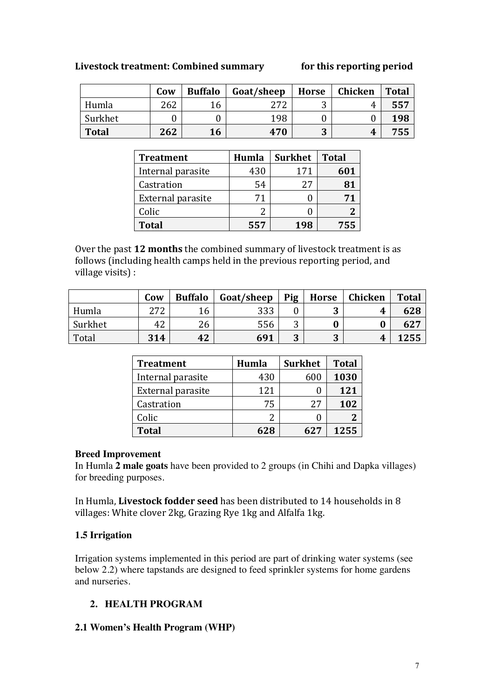#### Livestock treatment: Combined summary **for this reporting period**

|              | Cow | <b>Buffalo</b> | Goat/sheep | <b>Horse</b> | Chicken | <b>Total</b> |
|--------------|-----|----------------|------------|--------------|---------|--------------|
| Humla        | 262 | 16             | 272        | ັ            | 4       | 557          |
| Surkhet      |     |                | 198        |              |         | 198          |
| <b>Total</b> | 262 | 16             | 470        | ∩<br>Ĵ       | 4       | 755          |

| <b>Treatment</b>  | Humla | <b>Surkhet</b> | <b>Total</b> |
|-------------------|-------|----------------|--------------|
| Internal parasite | 430   | 171            | 601          |
| Castration        | 54    | 27             |              |
| External parasite | 71    |                | 71           |
| Colic             |       |                |              |
| <b>Total</b>      | 557   | 198            | 755          |

Over the past 12 months the combined summary of livestock treatment is as follows (including health camps held in the previous reporting period, and village visits) :

|         | Cow | <b>Buffalo</b> | Goat/sheep | Pig    | <b>Horse</b> | Chicken | <b>Total</b> |
|---------|-----|----------------|------------|--------|--------------|---------|--------------|
| Humla   | 272 | 16             | 333        |        | ື            | 4       | 628          |
| Surkhet | 42  | 26             | 556        | ◠      |              |         | 627          |
| Total   | 314 | 42             | 691        | ∩<br>J | 2<br>J       | 4       | 1255         |

| <b>Treatment</b>  | Humla | <b>Surkhet</b> | <b>Total</b> |
|-------------------|-------|----------------|--------------|
| Internal parasite | 430   | 600            | 1030         |
| External parasite | 121   |                | 121          |
| Castration        | 75    | 27             | 102          |
| Colic             |       |                |              |
| <b>Total</b>      | 628   | 627            | 1255         |

#### **Breed Improvement**

In Humla **2 male goats** have been provided to 2 groups (in Chihi and Dapka villages) for breeding purposes.

In Humla, Livestock fodder seed has been distributed to 14 households in 8 villages: White clover 2kg, Grazing Rye 1kg and Alfalfa 1kg.

#### **1.5 Irrigation**

Irrigation systems implemented in this period are part of drinking water systems (see below 2.2) where tapstands are designed to feed sprinkler systems for home gardens and nurseries.

#### **2. HEALTH PROGRAM**

#### **2.1 Women's Health Program (WHP)**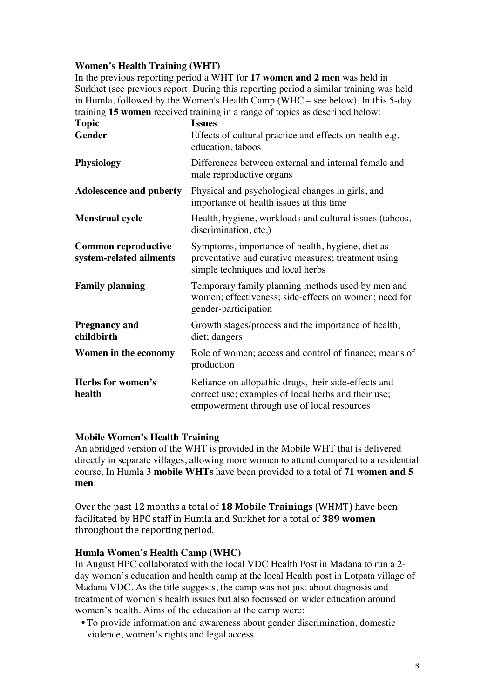#### **Women's Health Training (WHT)**

In the previous reporting period a WHT for **17 women and 2 men** was held in Surkhet (see previous report. During this reporting period a similar training was held in Humla, followed by the Women's Health Camp (WHC – see below). In this 5-day training **15 women** received training in a range of topics as described below:

| <b>Topic</b>                                          | <b>Issues</b>                                                                                                                                             |  |  |
|-------------------------------------------------------|-----------------------------------------------------------------------------------------------------------------------------------------------------------|--|--|
| Gender                                                | Effects of cultural practice and effects on health e.g.<br>education, taboos                                                                              |  |  |
| <b>Physiology</b>                                     | Differences between external and internal female and<br>male reproductive organs                                                                          |  |  |
| <b>Adolescence and puberty</b>                        | Physical and psychological changes in girls, and<br>importance of health issues at this time                                                              |  |  |
| <b>Menstrual cycle</b>                                | Health, hygiene, workloads and cultural issues (taboos,<br>discrimination, etc.)                                                                          |  |  |
| <b>Common reproductive</b><br>system-related ailments | Symptoms, importance of health, hygiene, diet as<br>preventative and curative measures; treatment using<br>simple techniques and local herbs              |  |  |
| <b>Family planning</b>                                | Temporary family planning methods used by men and<br>women; effectiveness; side-effects on women; need for<br>gender-participation                        |  |  |
| <b>Pregnancy and</b><br>childbirth                    | Growth stages/process and the importance of health,<br>diet; dangers                                                                                      |  |  |
| Women in the economy                                  | Role of women; access and control of finance; means of<br>production                                                                                      |  |  |
| Herbs for women's<br>health                           | Reliance on allopathic drugs, their side-effects and<br>correct use; examples of local herbs and their use;<br>empowerment through use of local resources |  |  |

#### **Mobile Women's Health Training**

An abridged version of the WHT is provided in the Mobile WHT that is delivered directly in separate villages, allowing more women to attend compared to a residential course. In Humla 3 **mobile WHTs** have been provided to a total of **71 women and 5 men**.

Over the past 12 months a total of **18 Mobile Trainings** (WHMT) have been facilitated by HPC staff in Humla and Surkhet for a total of 389 women throughout the reporting period.

#### **Humla Women's Health Camp (WHC)**

In August HPC collaborated with the local VDC Health Post in Madana to run a 2 day women's education and health camp at the local Health post in Lotpata village of Madana VDC. As the title suggests, the camp was not just about diagnosis and treatment of women's health issues but also focussed on wider education around women's health. Aims of the education at the camp were:

•To provide information and awareness about gender discrimination, domestic violence, women's rights and legal access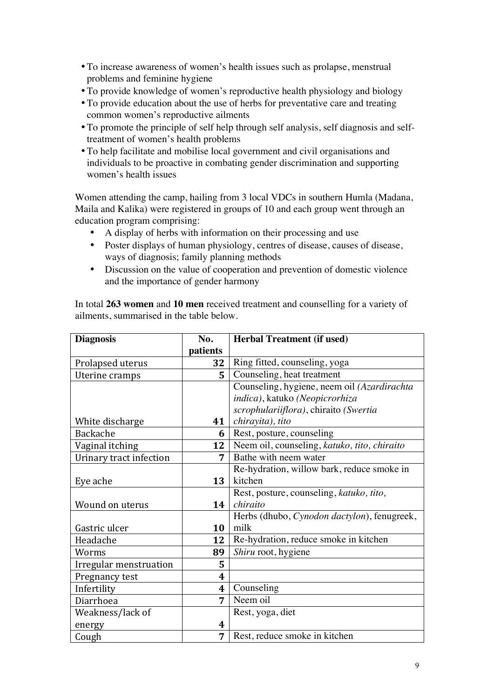- •To increase awareness of women's health issues such as prolapse, menstrual problems and feminine hygiene
- •To provide knowledge of women's reproductive health physiology and biology
- •To provide education about the use of herbs for preventative care and treating common women's reproductive ailments
- •To promote the principle of self help through self analysis, self diagnosis and selftreatment of women's health problems
- •To help facilitate and mobilise local government and civil organisations and individuals to be proactive in combating gender discrimination and supporting women's health issues

Women attending the camp, hailing from 3 local VDCs in southern Humla (Madana, Maila and Kalika) were registered in groups of 10 and each group went through an education program comprising:

- A display of herbs with information on their processing and use
- Poster displays of human physiology, centres of disease, causes of disease, ways of diagnosis; family planning methods
- Discussion on the value of cooperation and prevention of domestic violence and the importance of gender harmony

In total **263 women** and **10 men** received treatment and counselling for a variety of ailments, summarised in the table below.

| <b>Diagnosis</b>        | No.              | <b>Herbal Treatment (if used)</b>            |  |  |
|-------------------------|------------------|----------------------------------------------|--|--|
|                         | patients         |                                              |  |  |
| Prolapsed uterus        | 32               | Ring fitted, counseling, yoga                |  |  |
| Uterine cramps          | 5                | Counseling, heat treatment                   |  |  |
|                         |                  | Counseling, hygiene, neem oil (Azardirachta  |  |  |
|                         |                  | indica), katuko (Neopicrorhiza               |  |  |
|                         |                  | scrophulariiflora), chiraito (Swertia        |  |  |
| White discharge         | 41               | chirayita), tito                             |  |  |
| Backache                | 6                | Rest, posture, counseling                    |  |  |
| Vaginal itching         | 12               | Neem oil, counseling, katuko, tito, chiraito |  |  |
| Urinary tract infection | 7                | Bathe with neem water                        |  |  |
|                         |                  | Re-hydration, willow bark, reduce smoke in   |  |  |
| Eye ache                | 13               | kitchen                                      |  |  |
|                         |                  | Rest, posture, counseling, katuko, tito,     |  |  |
| Wound on uterus         | 14               | chiraito                                     |  |  |
|                         |                  | Herbs (dhubo, Cynodon dactylon), fenugreek,  |  |  |
| Gastric ulcer           | 10               | milk                                         |  |  |
| Headache                | 12               | Re-hydration, reduce smoke in kitchen        |  |  |
| Worms                   | 89               | Shiru root, hygiene                          |  |  |
| Irregular menstruation  | 5                |                                              |  |  |
| Pregnancy test          | $\boldsymbol{4}$ |                                              |  |  |
| Infertility             | $\boldsymbol{4}$ | Counseling                                   |  |  |
| Diarrhoea               | 7                | Neem oil                                     |  |  |
| Weakness/lack of        |                  | Rest, yoga, diet                             |  |  |
| energy                  | 4                |                                              |  |  |
| Cough                   | 7                | Rest, reduce smoke in kitchen                |  |  |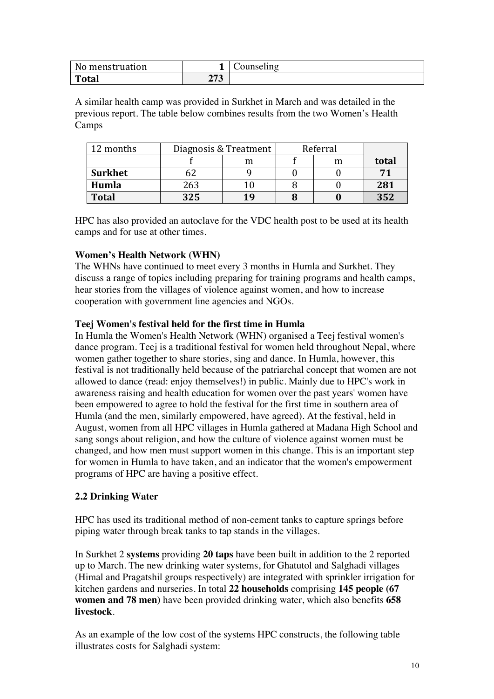| No menstruation |                    | Counseling |
|-----------------|--------------------|------------|
| <b>Total</b>    | 272<br>$\angle 13$ |            |

A similar health camp was provided in Surkhet in March and was detailed in the previous report. The table below combines results from the two Women's Health Camps

| 12 months      |     | Diagnosis & Treatment | Referral |   |       |
|----------------|-----|-----------------------|----------|---|-------|
|                |     | m                     |          | m | total |
| <b>Surkhet</b> |     |                       |          |   |       |
| Humla          | 263 |                       |          |   | 281   |
| <b>Total</b>   | 325 | 19                    |          |   | 352   |

HPC has also provided an autoclave for the VDC health post to be used at its health camps and for use at other times.

#### **Women's Health Network (WHN)**

The WHNs have continued to meet every 3 months in Humla and Surkhet. They discuss a range of topics including preparing for training programs and health camps, hear stories from the villages of violence against women, and how to increase cooperation with government line agencies and NGOs.

#### **Teej Women's festival held for the first time in Humla**

In Humla the Women's Health Network (WHN) organised a Teej festival women's dance program. Teej is a traditional festival for women held throughout Nepal, where women gather together to share stories, sing and dance. In Humla, however, this festival is not traditionally held because of the patriarchal concept that women are not allowed to dance (read: enjoy themselves!) in public. Mainly due to HPC's work in awareness raising and health education for women over the past years' women have been empowered to agree to hold the festival for the first time in southern area of Humla (and the men, similarly empowered, have agreed). At the festival, held in August, women from all HPC villages in Humla gathered at Madana High School and sang songs about religion, and how the culture of violence against women must be changed, and how men must support women in this change. This is an important step for women in Humla to have taken, and an indicator that the women's empowerment programs of HPC are having a positive effect.

#### **2.2 Drinking Water**

HPC has used its traditional method of non-cement tanks to capture springs before piping water through break tanks to tap stands in the villages.

In Surkhet 2 **systems** providing **20 taps** have been built in addition to the 2 reported up to March. The new drinking water systems, for Ghatutol and Salghadi villages (Himal and Pragatshil groups respectively) are integrated with sprinkler irrigation for kitchen gardens and nurseries. In total **22 households** comprising **145 people (67 women and 78 men)** have been provided drinking water, which also benefits **658 livestock**.

As an example of the low cost of the systems HPC constructs, the following table illustrates costs for Salghadi system: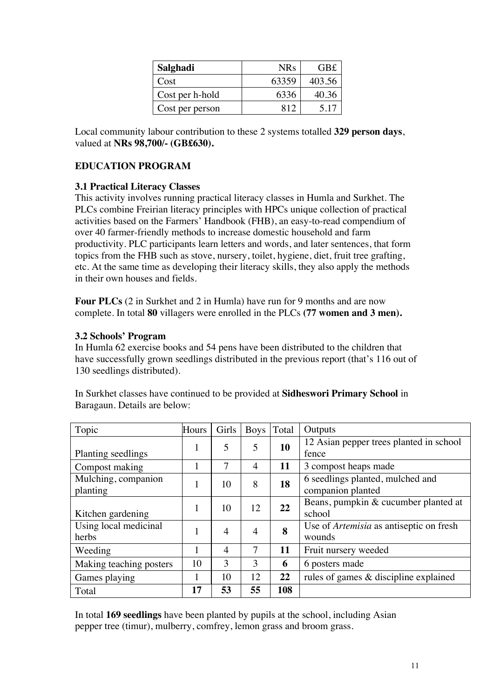| Salghadi        | <b>NRs</b> | GB£    |
|-----------------|------------|--------|
| Cost            | 63359      | 403.56 |
| Cost per h-hold | 6336       | 40.36  |
| Cost per person | 812        | 5 1 7  |

Local community labour contribution to these 2 systems totalled **329 person days**, valued at **NRs 98,700/- (GB£630).**

#### **EDUCATION PROGRAM**

#### **3.1 Practical Literacy Classes**

This activity involves running practical literacy classes in Humla and Surkhet. The PLCs combine Freirian literacy principles with HPCs unique collection of practical activities based on the Farmers' Handbook (FHB), an easy-to-read compendium of over 40 farmer-friendly methods to increase domestic household and farm productivity. PLC participants learn letters and words, and later sentences, that form topics from the FHB such as stove, nursery, toilet, hygiene, diet, fruit tree grafting, etc. At the same time as developing their literacy skills, they also apply the methods in their own houses and fields.

**Four PLCs** (2 in Surkhet and 2 in Humla) have run for 9 months and are now complete. In total **80** villagers were enrolled in the PLCs **(77 women and 3 men).**

#### **3.2 Schools' Program**

In Humla 62 exercise books and 54 pens have been distributed to the children that have successfully grown seedlings distributed in the previous report (that's 116 out of 130 seedlings distributed).

| Topic                           | Hours | Girls          | <b>Boys</b>    | Total | Outputs                                                  |
|---------------------------------|-------|----------------|----------------|-------|----------------------------------------------------------|
| Planting seedlings              | 1     | 5              | 5              | 10    | 12 Asian pepper trees planted in school<br>fence         |
| Compost making                  |       | 7              | 4              | 11    | 3 compost heaps made                                     |
| Mulching, companion<br>planting |       | 10             | 8              | 18    | 6 seedlings planted, mulched and<br>companion planted    |
| Kitchen gardening               |       | 10             | 12             | 22    | Beans, pumpkin & cucumber planted at<br>school           |
| Using local medicinal<br>herbs  |       | $\overline{4}$ | $\overline{4}$ | 8     | Use of <i>Artemisia</i> as antiseptic on fresh<br>wounds |
| Weeding                         |       | 4              | 7              | 11    | Fruit nursery weeded                                     |
| Making teaching posters         | 10    | 3              | 3              | 6     | 6 posters made                                           |
| Games playing                   |       | 10             | 12             | 22    | rules of games & discipline explained                    |
| Total                           | 17    | 53             | 55             | 108   |                                                          |

In Surkhet classes have continued to be provided at **Sidheswori Primary School** in Baragaun. Details are below:

In total **169 seedlings** have been planted by pupils at the school, including Asian pepper tree (timur), mulberry, comfrey, lemon grass and broom grass.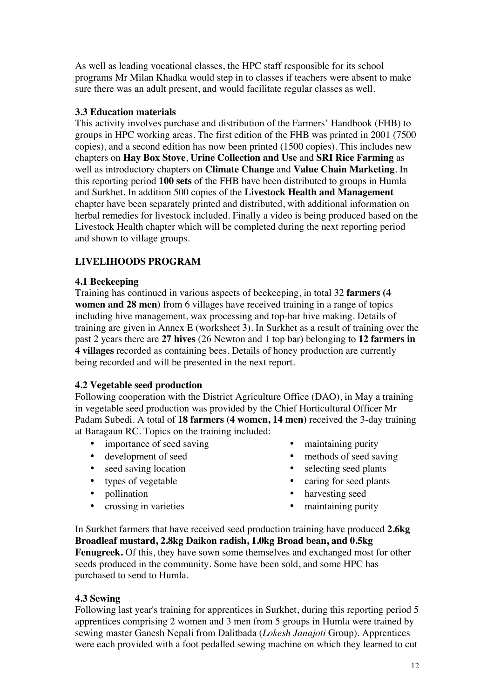As well as leading vocational classes, the HPC staff responsible for its school programs Mr Milan Khadka would step in to classes if teachers were absent to make sure there was an adult present, and would facilitate regular classes as well.

#### **3.3 Education materials**

This activity involves purchase and distribution of the Farmers' Handbook (FHB) to groups in HPC working areas. The first edition of the FHB was printed in 2001 (7500 copies), and a second edition has now been printed (1500 copies). This includes new chapters on **Hay Box Stove**, **Urine Collection and Use** and **SRI Rice Farming** as well as introductory chapters on **Climate Change** and **Value Chain Marketing**. In this reporting period **100 sets** of the FHB have been distributed to groups in Humla and Surkhet. In addition 500 copies of the **Livestock Health and Management** chapter have been separately printed and distributed, with additional information on herbal remedies for livestock included. Finally a video is being produced based on the Livestock Health chapter which will be completed during the next reporting period and shown to village groups.

#### **LIVELIHOODS PROGRAM**

#### **4.1 Beekeeping**

Training has continued in various aspects of beekeeping, in total 32 **farmers (4 women and 28 men**) from 6 villages have received training in a range of topics including hive management, wax processing and top-bar hive making. Details of training are given in Annex E (worksheet 3). In Surkhet as a result of training over the past 2 years there are **27 hives** (26 Newton and 1 top bar) belonging to **12 farmers in 4 villages** recorded as containing bees. Details of honey production are currently being recorded and will be presented in the next report.

#### **4.2 Vegetable seed production**

Following cooperation with the District Agriculture Office (DAO), in May a training in vegetable seed production was provided by the Chief Horticultural Officer Mr Padam Subedi. A total of **18 farmers (4 women, 14 men)** received the 3-day training at Baragaun RC. Topics on the training included:

- importance of seed saving maintaining purity
- 
- 
- 
- 
- 
- 
- development of seed methods of seed saving
- seed saving location selecting seed plants
- types of vegetable caring for seed plants
- pollination harvesting seed
	- crossing in varieties maintaining purity

In Surkhet farmers that have received seed production training have produced **2.6kg Broadleaf mustard, 2.8kg Daikon radish, 1.0kg Broad bean, and 0.5kg Fenugreek.** Of this, they have sown some themselves and exchanged most for other seeds produced in the community. Some have been sold, and some HPC has purchased to send to Humla.

#### **4.3 Sewing**

Following last year's training for apprentices in Surkhet, during this reporting period 5 apprentices comprising 2 women and 3 men from 5 groups in Humla were trained by sewing master Ganesh Nepali from Dalitbada (*Lokesh Janajoti* Group). Apprentices were each provided with a foot pedalled sewing machine on which they learned to cut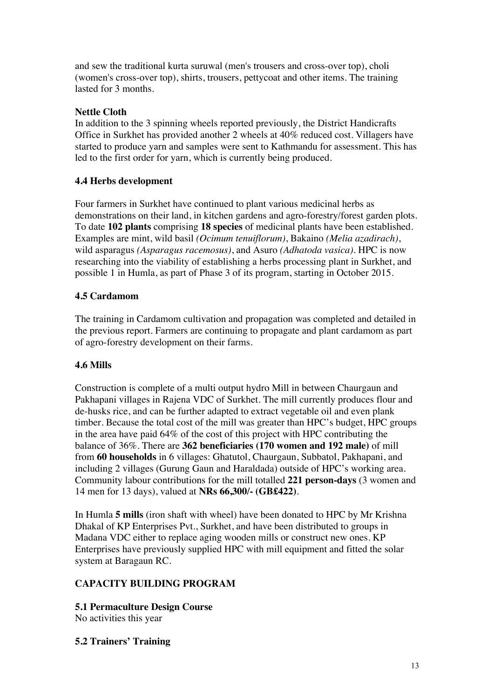and sew the traditional kurta suruwal (men's trousers and cross-over top), choli (women's cross-over top), shirts, trousers, pettycoat and other items. The training lasted for 3 months.

#### **Nettle Cloth**

In addition to the 3 spinning wheels reported previously, the District Handicrafts Office in Surkhet has provided another 2 wheels at 40% reduced cost. Villagers have started to produce yarn and samples were sent to Kathmandu for assessment. This has led to the first order for yarn, which is currently being produced.

#### **4.4 Herbs development**

Four farmers in Surkhet have continued to plant various medicinal herbs as demonstrations on their land, in kitchen gardens and agro-forestry/forest garden plots. To date **102 plants** comprising **18 species** of medicinal plants have been established. Examples are mint, wild basil *(Ocimum tenuiflorum)*, Bakaino *(Melia azadirach)*, wild asparagus *(Asparagus racemosus)*, and Asuro *(Adhatoda vasica)*. HPC is now researching into the viability of establishing a herbs processing plant in Surkhet, and possible 1 in Humla, as part of Phase 3 of its program, starting in October 2015.

#### **4.5 Cardamom**

The training in Cardamom cultivation and propagation was completed and detailed in the previous report. Farmers are continuing to propagate and plant cardamom as part of agro-forestry development on their farms.

#### **4.6 Mills**

Construction is complete of a multi output hydro Mill in between Chaurgaun and Pakhapani villages in Rajena VDC of Surkhet. The mill currently produces flour and de-husks rice, and can be further adapted to extract vegetable oil and even plank timber. Because the total cost of the mill was greater than HPC's budget, HPC groups in the area have paid 64% of the cost of this project with HPC contributing the balance of 36%. There are **362 beneficiaries (170 women and 192 male)** of mill from **60 households** in 6 villages: Ghatutol, Chaurgaun, Subbatol, Pakhapani, and including 2 villages (Gurung Gaun and Haraldada) outside of HPC's working area. Community labour contributions for the mill totalled **221 person-days** (3 women and 14 men for 13 days), valued at **NRs 66,300/- (GB£422)**.

In Humla **5 mills** (iron shaft with wheel) have been donated to HPC by Mr Krishna Dhakal of KP Enterprises Pvt., Surkhet, and have been distributed to groups in Madana VDC either to replace aging wooden mills or construct new ones. KP Enterprises have previously supplied HPC with mill equipment and fitted the solar system at Baragaun RC.

#### **CAPACITY BUILDING PROGRAM**

**5.1 Permaculture Design Course** No activities this year

#### **5.2 Trainers' Training**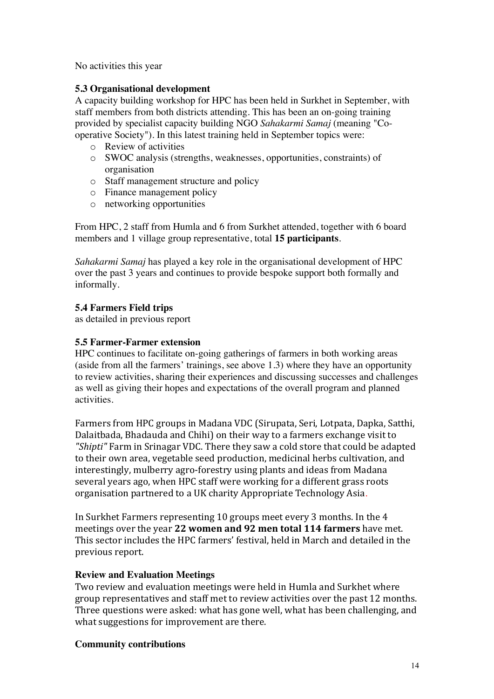No activities this year

#### **5.3 Organisational development**

A capacity building workshop for HPC has been held in Surkhet in September, with staff members from both districts attending. This has been an on-going training provided by specialist capacity building NGO *Sahakarmi Samaj* (meaning "Cooperative Society"). In this latest training held in September topics were:

- o Review of activities
- o SWOC analysis (strengths, weaknesses, opportunities, constraints) of organisation
- o Staff management structure and policy
- o Finance management policy
- o networking opportunities

From HPC, 2 staff from Humla and 6 from Surkhet attended, together with 6 board members and 1 village group representative, total **15 participants**.

*Sahakarmi Samaj* has played a key role in the organisational development of HPC over the past 3 years and continues to provide bespoke support both formally and informally.

#### **5.4 Farmers Field trips**

as detailed in previous report

#### **5.5 Farmer-Farmer extension**

HPC continues to facilitate on-going gatherings of farmers in both working areas (aside from all the farmers' trainings, see above 1.3) where they have an opportunity to review activities, sharing their experiences and discussing successes and challenges as well as giving their hopes and expectations of the overall program and planned activities.

Farmers from HPC groups in Madana VDC (Sirupata, Seri, Lotpata, Dapka, Satthi, Dalaitbada, Bhadauda and Chihi) on their way to a farmers exchange visit to "Shipti" Farm in Srinagar VDC. There they saw a cold store that could be adapted to their own area, vegetable seed production, medicinal herbs cultivation, and interestingly, mulberry agro-forestry using plants and ideas from Madana several years ago, when HPC staff were working for a different grass roots organisation partnered to a UK charity Appropriate Technology Asia.

In Surkhet Farmers representing 10 groups meet every 3 months. In the 4 meetings over the year 22 women and 92 men total 114 farmers have met. This sector includes the HPC farmers' festival, held in March and detailed in the previous report.

#### **Review and Evaluation Meetings**

Two review and evaluation meetings were held in Humla and Surkhet where group representatives and staff met to review activities over the past 12 months. Three questions were asked: what has gone well, what has been challenging, and what suggestions for improvement are there.

#### **Community contributions**